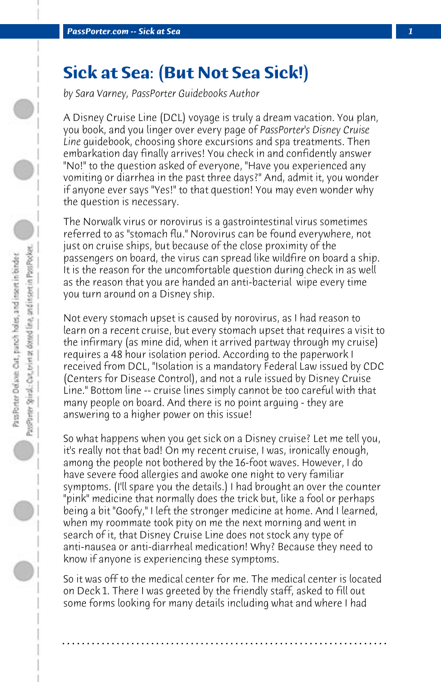## **Sick at Sea: (But Not Sea Sick!)**

*by Sara Varney, PassPorter Guidebooks Author*

A Disney Cruise Line (DCL) voyage is truly a dream vacation. You plan, you book, and you linger over every page of *PassPorter's Disney Cruise Line* guidebook, choosing shore excursions and spa treatments. Then embarkation day finally arrives! You check in and confidently answer "No!" to the question asked of everyone, "Have you experienced any vomiting or diarrhea in the past three days?" And, admit it, you wonder if anyone ever says "Yes!" to that question! You may even wonder why the question is necessary.

The Norwalk virus or norovirus is a gastrointestinal virus sometimes referred to as "stomach flu." Norovirus can be found everywhere, not just on cruise ships, but because of the close proximity of the passengers on board, the virus can spread like wildfire on board a ship. It is the reason for the uncomfortable question during check in as well as the reason that you are handed an anti-bacterial wipe every time you turn around on a Disney ship.

Not every stomach upset is caused by norovirus, as I had reason to learn on a recent cruise, but every stomach upset that requires a visit to the infirmary (as mine did, when it arrived partway through my cruise) requires a 48 hour isolation period. According to the paperwork I received from DCL, "Isolation is a mandatory Federal Law issued by CDC (Centers for Disease Control), and not a rule issued by Disney Cruise Line." Bottom line -- cruise lines simply cannot be too careful with that many people on board. And there is no point arguing - they are answering to a higher power on this issue!

So what happens when you get sick on a Disney cruise? Let me tell you, it's really not that bad! On my recent cruise, I was, ironically enough, among the people not bothered by the 16-foot waves. However, I do have severe food allergies and awoke one night to very familiar symptoms. (I'll spare you the details.) I had brought an over the counter "pink" medicine that normally does the trick but, like a fool or perhaps being a bit "Goofy," I left the stronger medicine at home. And I learned, when my roommate took pity on me the next morning and went in search of it, that Disney Cruise Line does not stock any type of anti-nausea or anti-diarrheal medication! Why? Because they need to know if anyone is experiencing these symptoms.

So it was off to the medical center for me. The medical center is located on Deck 1. There I was greeted by the friendly staff, asked to fill out some forms looking for many details including what and where I had

**. . . . . . . . . . . . . . . . . . . . . . . . . . . . . . . . . . . . . . . . . . . . . . . . . . . . . . . . . . . . . . . . . .**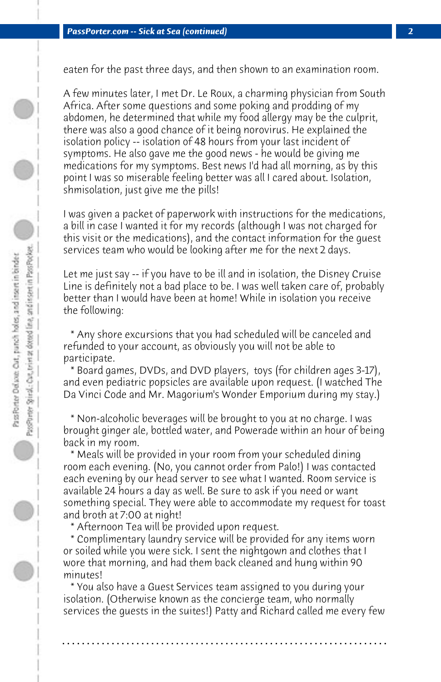eaten for the past three days, and then shown to an examination room.

A few minutes later, I met Dr. Le Roux, a charming physician from South Africa. After some questions and some poking and prodding of my abdomen, he determined that while my food allergy may be the culprit, there was also a good chance of it being norovirus. He explained the isolation policy -- isolation of 48 hours from your last incident of symptoms. He also gave me the good news - he would be giving me medications for my symptoms. Best news I'd had all morning, as by this point I was so miserable feeling better was all I cared about. Isolation, shmisolation, just give me the pills!

I was given a packet of paperwork with instructions for the medications, a bill in case I wanted it for my records (although I was not charged for this visit or the medications), and the contact information for the guest services team who would be looking after me for the next 2 days.

Let me just say -- if you have to be ill and in isolation, the Disney Cruise Line is definitely not a bad place to be. I was well taken care of, probably better than I would have been at home! While in isolation you receive the following:

 \* Any shore excursions that you had scheduled will be canceled and refunded to your account, as obviously you will not be able to participate.

 \* Board games, DVDs, and DVD players, toys (for children ages 3-17), and even pediatric popsicles are available upon request. (I watched The Da Vinci Code and Mr. Magorium's Wonder Emporium during my stay.)

 \* Non-alcoholic beverages will be brought to you at no charge. I was brought ginger ale, bottled water, and Powerade within an hour of being back in my room.

 \* Meals will be provided in your room from your scheduled dining room each evening. (No, you cannot order from Palo!) I was contacted each evening by our head server to see what I wanted. Room service is available 24 hours a day as well. Be sure to ask if you need or want something special. They were able to accommodate my request for toast and broth at 7:00 at night!

\* Afternoon Tea will be provided upon request.

 \* Complimentary laundry service will be provided for any items worn or soiled while you were sick. I sent the nightgown and clothes that I wore that morning, and had them back cleaned and hung within 90 minutes!

 \* You also have a Guest Services team assigned to you during your isolation. (Otherwise known as the concierge team, who normally services the guests in the suites!) Patty and Richard called me every few

**. . . . . . . . . . . . . . . . . . . . . . . . . . . . . . . . . . . . . . . . . . . . . . . . . . . . . . . . . . . . . . . . . .**